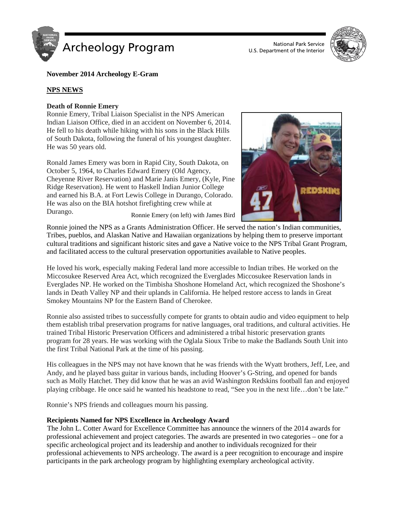



## **November 2014 Archeology E-Gram**

## **NPS NEWS**

## **Death of Ronnie Emery**

Ronnie Emery, Tribal Liaison Specialist in the NPS American Indian Liaison Office, died in an accident on November 6, 2014. He fell to his death while hiking with his sons in the Black Hills of South Dakota, following the funeral of his youngest daughter. He was 50 years old.

Ronald James Emery was born in Rapid City, South Dakota, on October 5, 1964, to Charles Edward Emery (Old Agency, Cheyenne River Reservation) and Marie Janis Emery, (Kyle, Pine Ridge Reservation). He went to Haskell Indian Junior College and earned his B.A. at Fort Lewis College in Durango, Colorado. He was also on the BIA hotshot firefighting crew while at Durango. Ronnie Emery (on left) with James Bird



Ronnie joined the NPS as a Grants Administration Officer. He served the nation's Indian communities, Tribes, pueblos, and Alaskan Native and Hawaiian organizations by helping them to preserve important cultural traditions and significant historic sites and gave a Native voice to the NPS Tribal Grant Program, and facilitated access to the cultural preservation opportunities available to Native peoples.

He loved his work, especially making Federal land more accessible to Indian tribes. He worked on the Miccosukee Reserved Area Act, which recognized the Everglades Miccosukee Reservation lands in Everglades NP. He worked on the Timbisha Shoshone Homeland Act, which recognized the Shoshone's lands in Death Valley NP and their uplands in California. He helped restore access to lands in Great Smokey Mountains NP for the Eastern Band of Cherokee.

Ronnie also assisted tribes to successfully compete for grants to obtain audio and video equipment to help them establish tribal preservation programs for native languages, oral traditions, and cultural activities. He trained Tribal Historic Preservation Officers and administered a tribal historic preservation grants program for 28 years. He was working with the Oglala Sioux Tribe to make the Badlands South Unit into the first Tribal National Park at the time of his passing.

His colleagues in the NPS may not have known that he was friends with the Wyatt brothers, Jeff, Lee, and Andy, and he played bass guitar in various bands, including Hoover's G-String, and opened for bands such as Molly Hatchet. They did know that he was an avid Washington Redskins football fan and enjoyed playing cribbage. He once said he wanted his headstone to read, "See you in the next life…don't be late."

Ronnie's NPS friends and colleagues mourn his passing.

### **Recipients Named for NPS Excellence in Archeology Award**

The John L. Cotter Award for Excellence Committee has announce the winners of the 2014 awards for professional achievement and project categories. The awards are presented in two categories – one for a specific archeological project and its leadership and another to individuals recognized for their professional achievements to NPS archeology. The award is a peer recognition to encourage and inspire participants in the park archeology program by highlighting exemplary archeological activity.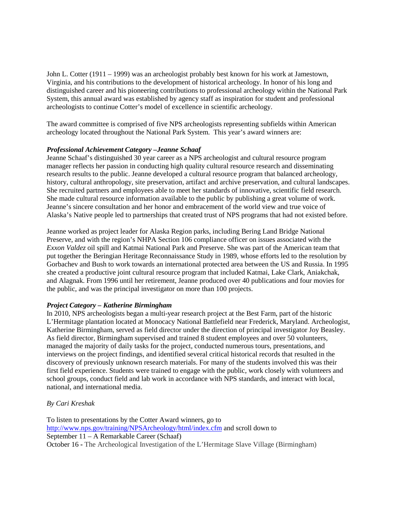John L. Cotter (1911 – 1999) was an archeologist probably best known for his work at Jamestown, Virginia, and his contributions to the development of historical archeology. In honor of his long and distinguished career and his pioneering contributions to professional archeology within the National Park System, this annual award was established by agency staff as inspiration for student and professional archeologists to continue Cotter's model of excellence in scientific archeology.

The award committee is comprised of five NPS archeologists representing subfields within American archeology located throughout the National Park System. This year's award winners are:

# *Professional Achievement Category –Jeanne Schaaf*

Jeanne Schaaf's distinguished 30 year career as a NPS archeologist and cultural resource program manager reflects her passion in conducting high quality cultural resource research and disseminating research results to the public. Jeanne developed a cultural resource program that balanced archeology, history, cultural anthropology, site preservation, artifact and archive preservation, and cultural landscapes. She recruited partners and employees able to meet her standards of innovative, scientific field research. She made cultural resource information available to the public by publishing a great volume of work. Jeanne's sincere consultation and her honor and embracement of the world view and true voice of Alaska's Native people led to partnerships that created trust of NPS programs that had not existed before.

Jeanne worked as project leader for Alaska Region parks, including Bering Land Bridge National Preserve, and with the region's NHPA Section 106 compliance officer on issues associated with the *Exxon Valdez* oil spill and Katmai National Park and Preserve. She was part of the American team that put together the Beringian Heritage Reconnaissance Study in 1989, whose efforts led to the resolution by Gorbachev and Bush to work towards an international protected area between the US and Russia. In 1995 she created a productive joint cultural resource program that included Katmai, Lake Clark, Aniakchak, and Alagnak. From 1996 until her retirement, Jeanne produced over 40 publications and four movies for the public, and was the principal investigator on more than 100 projects.

### *Project Category – Katherine Birmingham*

In 2010, NPS archeologists began a multi-year research project at the Best Farm, part of the historic L'Hermitage plantation located at Monocacy National Battlefield near Frederick, Maryland. Archeologist, Katherine Birmingham, served as field director under the direction of principal investigator Joy Beasley. As field director, Birmingham supervised and trained 8 student employees and over 50 volunteers, managed the majority of daily tasks for the project, conducted numerous tours, presentations, and interviews on the project findings, and identified several critical historical records that resulted in the discovery of previously unknown research materials. For many of the students involved this was their first field experience. Students were trained to engage with the public, work closely with volunteers and school groups, conduct field and lab work in accordance with NPS standards, and interact with local, national, and international media.

# *By Cari Kreshak*

To listen to presentations by the Cotter Award winners, go to <http://www.nps.gov/training/NPSArcheology/html/index.cfm> and scroll down to September 11 – A Remarkable Career (Schaaf) October 16 **-** The Archeological Investigation of the L'Hermitage Slave Village (Birmingham)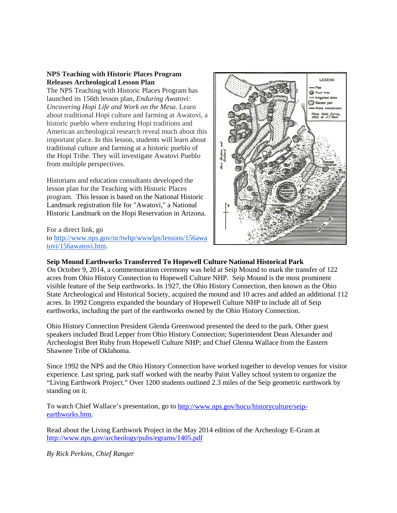### **NPS Teaching with Historic Places Program Releases Archeological Lesson Plan**

The NPS Teaching with Historic Places Program has launched its 156th lesson plan, *Enduring Awatovi: Uncovering Hopi Life and Work on the Mesa*. Learn about traditional Hopi culture and farming at Awatovi, a historic pueblo where enduring Hopi traditions and American archeological research reveal much about this important place. In this lesson, students will learn about traditional culture and farming at a historic pueblo of the Hopi Tribe. They will investigate Awatovi Pueblo from multiple perspectives.

Historians and education consultants developed the lesson plan for the Teaching with Historic Places program. This lesson is based on the National Historic Landmark registration file for "Awatovi," a National Historic Landmark on the Hopi Reservation in Arizona.

For a direct link, go to [http://www.nps.gov/nr/twhp/wwwlps/lessons/156awa](http://www.nps.gov/nr/twhp/wwwlps/lessons/156awatovi/156awatovi.htm) [tovi/156awatovi.htm.](http://www.nps.gov/nr/twhp/wwwlps/lessons/156awatovi/156awatovi.htm)



### **Seip Mound Earthworks Transferred To Hopewell Culture National Historical Park**

On October 9, 2014, a commemoration ceremony was held at Seip Mound to mark the transfer of 122 acres from Ohio History Connection to Hopewell Culture NHP. Seip Mound is the most prominent visible feature of the Seip earthworks. In 1927, the Ohio History Connection, then known as the Ohio State Archeological and Historical Society, acquired the mound and 10 acres and added an additional 112 acres. In 1992 Congress expanded the boundary of Hopewell Culture NHP to include all of Seip earthworks, including the part of the earthworks owned by the Ohio History Connection.

Ohio History Connection President Glenda Greenwood presented the deed to the park. Other guest speakers included Brad Lepper from Ohio History Connection; Superintendent Dean Alexander and Archeologist Bret Ruby from Hopewell Culture NHP; and Chief Glenna Wallace from the Eastern Shawnee Tribe of Oklahoma.

Since 1992 the NPS and the Ohio History Connection have worked together to develop venues for visitor experience. Last spring, park staff worked with the nearby Paint Valley school system to organize the "Living Earthwork Project." Over 1200 students outlined 2.3 miles of the Seip geometric earthwork by standing on it.

To watch Chief Wallace's presentation, go to [http://www.nps.gov/hocu/historyculture/seip](http://www.nps.gov/hocu/historyculture/seip-earthworks.htm)[earthworks.htm.](http://www.nps.gov/hocu/historyculture/seip-earthworks.htm)

Read about the Living Earthwork Project in the May 2014 edition of the Archeology E-Gram at <http://www.nps.gov/archeology/pubs/egrams/1405.pdf>

*By Rick Perkins, Chief Ranger*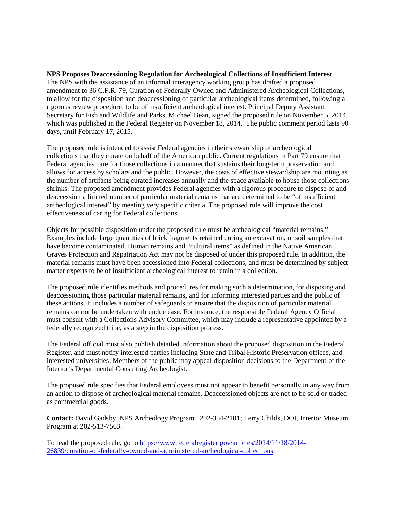### **NPS Proposes Deaccessioning Regulation for Archeological Collections of Insufficient Interest**

The NPS with the assistance of an informal interagency working group has drafted a proposed amendment to 36 C.F.R. 79, Curation of Federally-Owned and Administered Archeological Collections, to allow for the disposition and deaccessioning of particular archeological items determined, following a rigorous review procedure, to be of insufficient archeological interest. Principal Deputy Assistant Secretary for Fish and Wildlife and Parks, Michael Bean, signed the proposed rule on November 5, 2014, which was published in the Federal Register on November 18, 2014. The public comment period lasts 90 days, until February 17, 2015.

The proposed rule is intended to assist Federal agencies in their stewardship of archeological collections that they curate on behalf of the American public. Current regulations in Part 79 ensure that Federal agencies care for those collections in a manner that sustains their long-term preservation and allows for access by scholars and the public. However, the costs of effective stewardship are mounting as the number of artifacts being curated increases annually and the space available to house those collections shrinks. The proposed amendment provides Federal agencies with a rigorous procedure to dispose of and deaccession a limited number of particular material remains that are determined to be "of insufficient archeological interest" by meeting very specific criteria. The proposed rule will improve the cost effectiveness of caring for Federal collections.

Objects for possible disposition under the proposed rule must be archeological "material remains." Examples include large quantities of brick fragments retained during an excavation, or soil samples that have become contaminated. Human remains and "cultural items" as defined in the Native American Graves Protection and Repatriation Act may not be disposed of under this proposed rule. In addition, the material remains must have been accessioned into Federal collections, and must be determined by subject matter experts to be of insufficient archeological interest to retain in a collection.

The proposed rule identifies methods and procedures for making such a determination, for disposing and deaccessioning those particular material remains, and for informing interested parties and the public of these actions. It includes a number of safeguards to ensure that the disposition of particular material remains cannot be undertaken with undue ease. For instance, the responsible Federal Agency Official must consult with a Collections Advisory Committee, which may include a representative appointed by a federally recognized tribe, as a step in the disposition process.

The Federal official must also publish detailed information about the proposed disposition in the Federal Register, and must notify interested parties including State and Tribal Historic Preservation offices, and interested universities. Members of the public may appeal disposition decisions to the Department of the Interior's Departmental Consulting Archeologist.

The proposed rule specifies that Federal employees must not appear to benefit personally in any way from an action to dispose of archeological material remains. Deaccessioned objects are not to be sold or traded as commercial goods.

**Contact:** David Gadsby, NPS Archeology Program , 202-354-2101; Terry Childs, DOI, Interior Museum Program at 202-513-7563.

To read the proposed rule, go to [https://www.federalregister.gov/articles/2014/11/18/2014-](https://www.federalregister.gov/articles/2014/11/18/2014-26839/curation-of-federally-owned-and-administered-archeological-collections) [26839/curation-of-federally-owned-and-administered-archeological-collections](https://www.federalregister.gov/articles/2014/11/18/2014-26839/curation-of-federally-owned-and-administered-archeological-collections)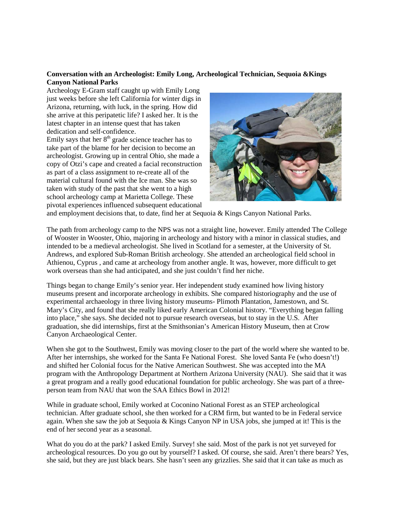### **Conversation with an Archeologist: Emily Long, Archeological Technician, Sequoia &Kings Canyon National Parks**

Archeology E-Gram staff caught up with Emily Long just weeks before she left California for winter digs in Arizona, returning, with luck, in the spring. How did she arrive at this peripatetic life? I asked her. It is the latest chapter in an intense quest that has taken dedication and self-confidence.

Emily says that her  $8<sup>th</sup>$  grade science teacher has to take part of the blame for her decision to become an archeologist. Growing up in central Ohio, she made a copy of Otzi's cape and created a facial reconstruction as part of a class assignment to re-create all of the material cultural found with the Ice man. She was so taken with study of the past that she went to a high school archeology camp at Marietta College. These pivotal experiences influenced subsequent educational



and employment decisions that, to date, find her at Sequoia & Kings Canyon National Parks.

The path from archeology camp to the NPS was not a straight line, however. Emily attended The College of Wooster in Wooster, Ohio, majoring in archeology and history with a minor in classical studies, and intended to be a medieval archeologist. She lived in Scotland for a semester, at the University of St. Andrews, and explored Sub-Roman British archeology. She attended an archeological field school in Athienou, Cyprus , and came at archeology from another angle. It was, however, more difficult to get work overseas than she had anticipated, and she just couldn't find her niche.

Things began to change Emily's senior year. Her independent study examined how living history museums present and incorporate archeology in exhibits. She compared historiography and the use of experimental archaeology in three living history museums- Plimoth Plantation, Jamestown, and St. Mary's City, and found that she really liked early American Colonial history. "Everything began falling into place," she says. She decided not to pursue research overseas, but to stay in the U.S. After graduation, she did internships, first at the Smithsonian's American History Museum, then at Crow Canyon Archaeological Center.

When she got to the Southwest, Emily was moving closer to the part of the world where she wanted to be. After her internships, she worked for the Santa Fe National Forest. She loved Santa Fe (who doesn't!) and shifted her Colonial focus for the Native American Southwest. She was accepted into the MA program with the Anthropology Department at Northern Arizona University (NAU). She said that it was a great program and a really good educational foundation for public archeology. She was part of a threeperson team from NAU that won the SAA Ethics Bowl in 2012!

While in graduate school, Emily worked at Coconino National Forest as an STEP archeological technician. After graduate school, she then worked for a CRM firm, but wanted to be in Federal service again. When she saw the job at Sequoia & Kings Canyon NP in USA jobs, she jumped at it! This is the end of her second year as a seasonal.

What do you do at the park? I asked Emily. Survey! she said. Most of the park is not yet surveyed for archeological resources. Do you go out by yourself? I asked. Of course, she said. Aren't there bears? Yes, she said, but they are just black bears. She hasn't seen any grizzlies. She said that it can take as much as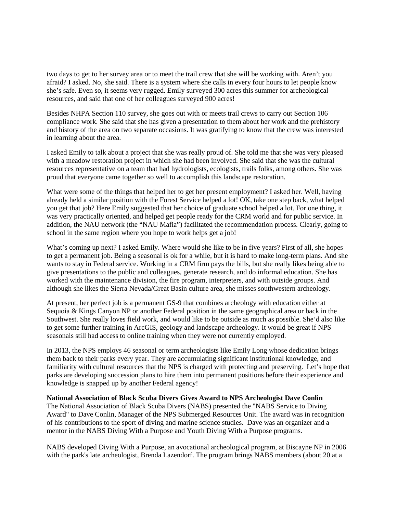two days to get to her survey area or to meet the trail crew that she will be working with. Aren't you afraid? I asked. No, she said. There is a system where she calls in every four hours to let people know she's safe. Even so, it seems very rugged. Emily surveyed 300 acres this summer for archeological resources, and said that one of her colleagues surveyed 900 acres!

Besides NHPA Section 110 survey, she goes out with or meets trail crews to carry out Section 106 compliance work. She said that she has given a presentation to them about her work and the prehistory and history of the area on two separate occasions. It was gratifying to know that the crew was interested in learning about the area.

I asked Emily to talk about a project that she was really proud of. She told me that she was very pleased with a meadow restoration project in which she had been involved. She said that she was the cultural resources representative on a team that had hydrologists, ecologists, trails folks, among others. She was proud that everyone came together so well to accomplish this landscape restoration.

What were some of the things that helped her to get her present employment? I asked her. Well, having already held a similar position with the Forest Service helped a lot! OK, take one step back, what helped you get that job? Here Emily suggested that her choice of graduate school helped a lot. For one thing, it was very practically oriented, and helped get people ready for the CRM world and for public service. In addition, the NAU network (the "NAU Mafia") facilitated the recommendation process. Clearly, going to school in the same region where you hope to work helps get a job!

What's coming up next? I asked Emily. Where would she like to be in five years? First of all, she hopes to get a permanent job. Being a seasonal is ok for a while, but it is hard to make long-term plans. And she wants to stay in Federal service. Working in a CRM firm pays the bills, but she really likes being able to give presentations to the public and colleagues, generate research, and do informal education. She has worked with the maintenance division, the fire program, interpreters, and with outside groups. And although she likes the Sierra Nevada/Great Basin culture area, she misses southwestern archeology.

At present, her perfect job is a permanent GS-9 that combines archeology with education either at Sequoia & Kings Canyon NP or another Federal position in the same geographical area or back in the Southwest. She really loves field work, and would like to be outside as much as possible. She'd also like to get some further training in ArcGIS, geology and landscape archeology. It would be great if NPS seasonals still had access to online training when they were not currently employed.

In 2013, the NPS employs 46 seasonal or term archeologists like Emily Long whose dedication brings them back to their parks every year. They are accumulating significant institutional knowledge, and familiarity with cultural resources that the NPS is charged with protecting and preserving. Let's hope that parks are developing succession plans to hire them into permanent positions before their experience and knowledge is snapped up by another Federal agency!

#### **National Association of Black Scuba Divers Gives Award to NPS Archeologist Dave Conlin**

The National Association of Black Scuba Divers (NABS) presented the "NABS Service to Diving Award" to Dave Conlin, Manager of the NPS Submerged Resources Unit. The award was in recognition of his contributions to the sport of diving and marine science studies. Dave was an organizer and a mentor in the NABS Diving With a Purpose and Youth Diving With a Purpose programs.

NABS developed Diving With a Purpose, an avocational archeological program, at Biscayne NP in 2006 with the park's late archeologist, Brenda Lazendorf. The program brings NABS members (about 20 at a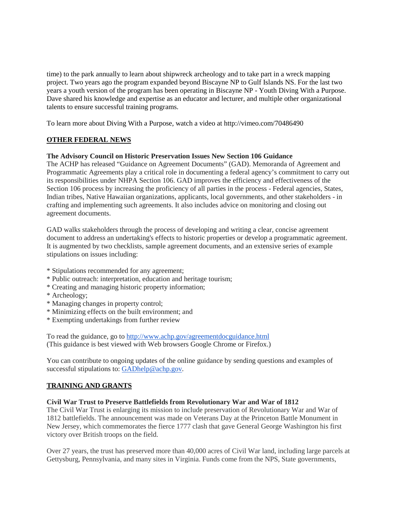time) to the park annually to learn about shipwreck archeology and to take part in a wreck mapping project. Two years ago the program expanded beyond Biscayne NP to Gulf Islands NS. For the last two years a youth version of the program has been operating in Biscayne NP - Youth Diving With a Purpose. Dave shared his knowledge and expertise as an educator and lecturer, and multiple other organizational talents to ensure successful training programs.

To learn more about Diving With a Purpose, watch a video at http://vimeo.com/70486490

# **OTHER FEDERAL NEWS**

### **The Advisory Council on Historic Preservation Issues New Section 106 Guidance**

The ACHP has released "Guidance on Agreement Documents" (GAD). Memoranda of Agreement and Programmatic Agreements play a critical role in documenting a federal agency's commitment to carry out its responsibilities under NHPA Section 106. GAD improves the efficiency and effectiveness of the Section 106 process by increasing the proficiency of all parties in the process - Federal agencies, States, Indian tribes, Native Hawaiian organizations, applicants, local governments, and other stakeholders - in crafting and implementing such agreements. It also includes advice on monitoring and closing out agreement documents.

GAD walks stakeholders through the process of developing and writing a clear, concise agreement document to address an undertaking's effects to historic properties or develop a programmatic agreement. It is augmented by two checklists, sample agreement documents, and an extensive series of example stipulations on issues including:

- \* Stipulations recommended for any agreement;
- \* Public outreach: interpretation, education and heritage tourism;
- \* Creating and managing historic property information;
- \* Archeology;
- \* Managing changes in property control;
- \* Minimizing effects on the built environment; and
- \* Exempting undertakings from further review

To read the guidance, go to<http://www.achp.gov/agreementdocguidance.html> (This guidance is best viewed with Web browsers Google Chrome or Firefox.)

You can contribute to ongoing updates of the online guidance by sending questions and examples of successful stipulations to: [GADhelp@achp.gov.](mailto:GADhelp@achp.gov)

### **TRAINING AND GRANTS**

#### **Civil War Trust to Preserve Battlefields from Revolutionary War and War of 1812**

The Civil War Trust is enlarging its mission to include preservation of Revolutionary War and War of 1812 battlefields. The announcement was made on Veterans Day at the Princeton Battle Monument in New Jersey, which commemorates the fierce 1777 clash that gave General George Washington his first victory over British troops on the field.

Over 27 years, the trust has preserved more than 40,000 acres of Civil War land, including large parcels at Gettysburg, Pennsylvania, and many sites in Virginia. Funds come from the NPS, State governments,